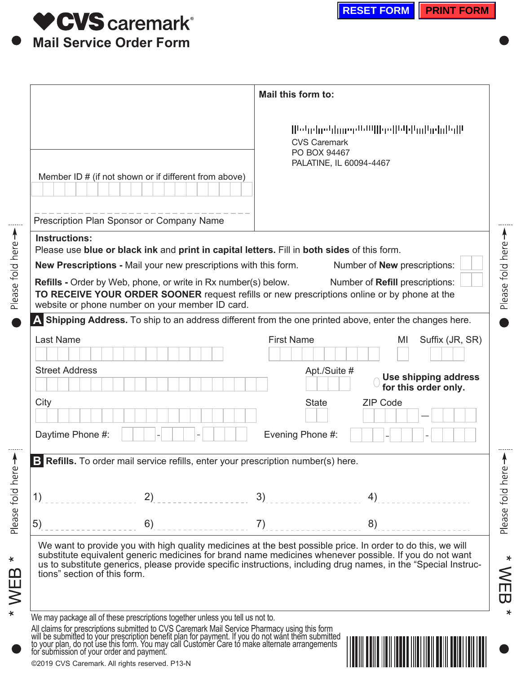

Please fold here

Please fold here -

 $*$  WEB  $*$ 

|                                                                                                                                                                                                                               | Mail this form to:                                                                                                                                                                                                                                                                                                                       |  |  |
|-------------------------------------------------------------------------------------------------------------------------------------------------------------------------------------------------------------------------------|------------------------------------------------------------------------------------------------------------------------------------------------------------------------------------------------------------------------------------------------------------------------------------------------------------------------------------------|--|--|
| Member ID # (if not shown or if different from above)                                                                                                                                                                         | Medarbarddanere <sup>n Gu</sup> llbreilletteltad belalteillt<br><b>CVS Caremark</b><br>PO BOX 94467<br>PALATINE, IL 60094-4467                                                                                                                                                                                                           |  |  |
| Prescription Plan Sponsor or Company Name                                                                                                                                                                                     |                                                                                                                                                                                                                                                                                                                                          |  |  |
| <b>Instructions:</b>                                                                                                                                                                                                          |                                                                                                                                                                                                                                                                                                                                          |  |  |
| Please use blue or black ink and print in capital letters. Fill in both sides of this form.<br>New Prescriptions - Mail your new prescriptions with this form.                                                                | Number of <b>New</b> prescriptions:                                                                                                                                                                                                                                                                                                      |  |  |
| <b>Refills - Order by Web, phone, or write in Rx number(s) below.</b><br>TO RECEIVE YOUR ORDER SOONER request refills or new prescriptions online or by phone at the<br>website or phone number on your member ID card.       | Number of Refill prescriptions:                                                                                                                                                                                                                                                                                                          |  |  |
|                                                                                                                                                                                                                               | A Shipping Address. To ship to an address different from the one printed above, enter the changes here.                                                                                                                                                                                                                                  |  |  |
| Last Name                                                                                                                                                                                                                     | <b>First Name</b><br>Suffix (JR, SR)<br>MI                                                                                                                                                                                                                                                                                               |  |  |
|                                                                                                                                                                                                                               |                                                                                                                                                                                                                                                                                                                                          |  |  |
| <b>Street Address</b>                                                                                                                                                                                                         | Apt./Suite #<br>Use shipping address<br>for this order only.                                                                                                                                                                                                                                                                             |  |  |
| City                                                                                                                                                                                                                          | <b>State</b><br><b>ZIP Code</b><br>$\blacktriangledown$                                                                                                                                                                                                                                                                                  |  |  |
| Daytime Phone #:                                                                                                                                                                                                              | Evening Phone #:                                                                                                                                                                                                                                                                                                                         |  |  |
| B Refills. To order mail service refills, enter your prescription number(s) here.                                                                                                                                             |                                                                                                                                                                                                                                                                                                                                          |  |  |
| 2)<br>1)                                                                                                                                                                                                                      | 3)<br>4)                                                                                                                                                                                                                                                                                                                                 |  |  |
| 5)<br>6)                                                                                                                                                                                                                      | 7)<br>8)                                                                                                                                                                                                                                                                                                                                 |  |  |
| tions" section of this form.                                                                                                                                                                                                  | We want to provide you with high quality medicines at the best possible price. In order to do this, we will<br>substitute equivalent generic medicines for brand name medicines whenever possible. If you do not want<br>us to substitute generics, please provide specific instructions, including drug names, in the "Special Instruc- |  |  |
| We may package all of these prescriptions together unless you tell us not to.                                                                                                                                                 |                                                                                                                                                                                                                                                                                                                                          |  |  |
| All claims for prescriptions submitted to CVS Caremark Mail Service Pharmacy using this form will be submitted to your prescription benefit plan for payment. If you do not want them submitted to your plan, do not use this |                                                                                                                                                                                                                                                                                                                                          |  |  |
| @2019 CVS Caremark. All rights reserved. P13-N                                                                                                                                                                                |                                                                                                                                                                                                                                                                                                                                          |  |  |